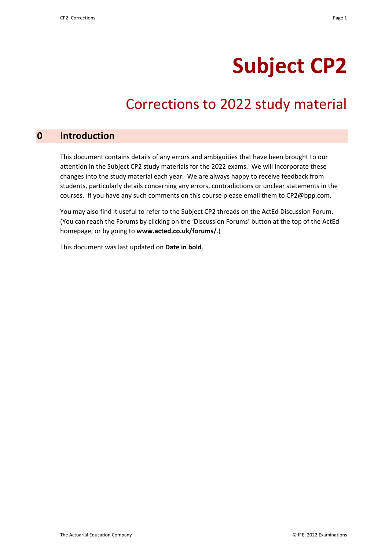# **Subject CP2**

## Corrections to 2022 study material

#### **0 Introduction**

This document contains details of any errors and ambiguities that have been brought to our attention in the Subject CP2 study materials for the 2022 exams. We will incorporate these changes into the study material each year. We are always happy to receive feedback from students, particularly details concerning any errors, contradictions or unclear statements in the courses. If you have any such comments on this course please email them to CP2@bpp.com.

You may also find it useful to refer to the Subject CP2 threads on the ActEd Discussion Forum. (You can reach the Forums by clicking on the 'Discussion Forums' button at the top of the ActEd homepage, or by going to **www.acted.co.uk/forums/**.)

This document was last updated on **Date in bold**.